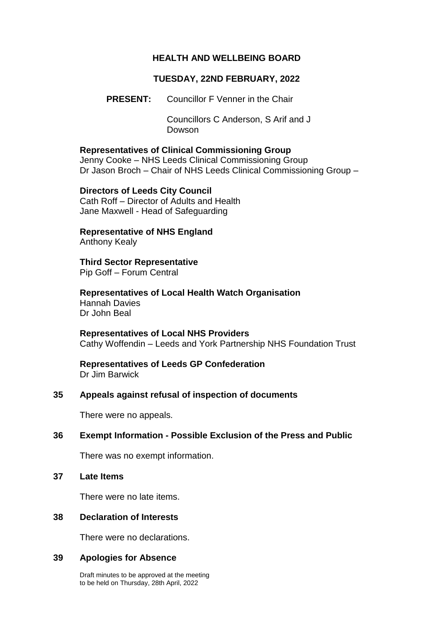#### **HEALTH AND WELLBEING BOARD**

### **TUESDAY, 22ND FEBRUARY, 2022**

**PRESENT:** Councillor F Venner in the Chair

Councillors C Anderson, S Arif and J Dowson

#### **Representatives of Clinical Commissioning Group**

Jenny Cooke – NHS Leeds Clinical Commissioning Group Dr Jason Broch – Chair of NHS Leeds Clinical Commissioning Group –

#### **Directors of Leeds City Council** Cath Roff – Director of Adults and Health

Jane Maxwell - Head of Safeguarding

# **Representative of NHS England**

Anthony Kealy

# **Third Sector Representative**

Pip Goff – Forum Central

**Representatives of Local Health Watch Organisation** Hannah Davies Dr John Beal

**Representatives of Local NHS Providers** Cathy Woffendin – Leeds and York Partnership NHS Foundation Trust

# **Representatives of Leeds GP Confederation**

Dr Jim Barwick

### **35 Appeals against refusal of inspection of documents**

There were no appeals.

### **36 Exempt Information - Possible Exclusion of the Press and Public**

There was no exempt information.

**37 Late Items**

There were no late items.

#### **38 Declaration of Interests**

There were no declarations.

#### **39 Apologies for Absence**

Draft minutes to be approved at the meeting to be held on Thursday, 28th April, 2022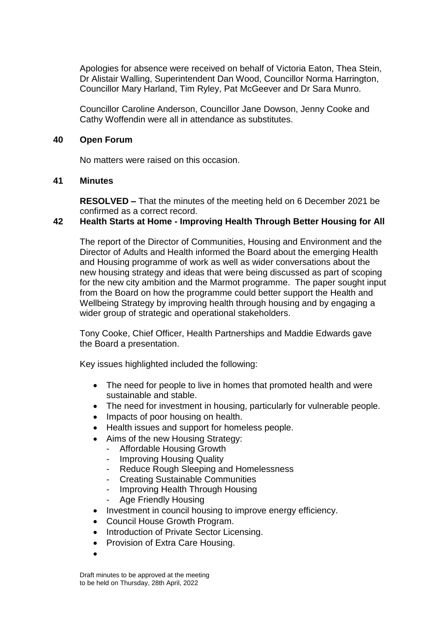Apologies for absence were received on behalf of Victoria Eaton, Thea Stein, Dr Alistair Walling, Superintendent Dan Wood, Councillor Norma Harrington, Councillor Mary Harland, Tim Ryley, Pat McGeever and Dr Sara Munro.

Councillor Caroline Anderson, Councillor Jane Dowson, Jenny Cooke and Cathy Woffendin were all in attendance as substitutes.

#### **40 Open Forum**

No matters were raised on this occasion.

#### **41 Minutes**

**RESOLVED –** That the minutes of the meeting held on 6 December 2021 be confirmed as a correct record.

## **42 Health Starts at Home - Improving Health Through Better Housing for All**

The report of the Director of Communities, Housing and Environment and the Director of Adults and Health informed the Board about the emerging Health and Housing programme of work as well as wider conversations about the new housing strategy and ideas that were being discussed as part of scoping for the new city ambition and the Marmot programme. The paper sought input from the Board on how the programme could better support the Health and Wellbeing Strategy by improving health through housing and by engaging a wider group of strategic and operational stakeholders.

Tony Cooke, Chief Officer, Health Partnerships and Maddie Edwards gave the Board a presentation.

Key issues highlighted included the following:

- The need for people to live in homes that promoted health and were sustainable and stable.
- The need for investment in housing, particularly for vulnerable people.
- Impacts of poor housing on health.
- Health issues and support for homeless people.
- Aims of the new Housing Strategy:
	- Affordable Housing Growth
		- Improving Housing Quality
		- Reduce Rough Sleeping and Homelessness
		- Creating Sustainable Communities
		- Improving Health Through Housing
		- Age Friendly Housing
- Investment in council housing to improve energy efficiency.
- Council House Growth Program.
- Introduction of Private Sector Licensing.
- Provision of Extra Care Housing.
- $\bullet$

Draft minutes to be approved at the meeting to be held on Thursday, 28th April, 2022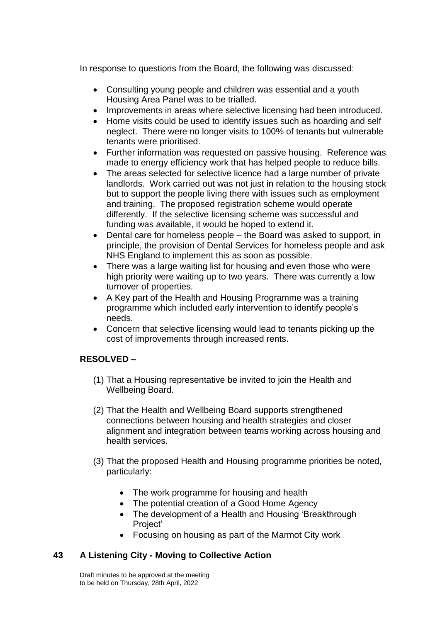In response to questions from the Board, the following was discussed:

- Consulting young people and children was essential and a youth Housing Area Panel was to be trialled.
- Improvements in areas where selective licensing had been introduced.
- Home visits could be used to identify issues such as hoarding and self neglect. There were no longer visits to 100% of tenants but vulnerable tenants were prioritised.
- Further information was requested on passive housing. Reference was made to energy efficiency work that has helped people to reduce bills.
- The areas selected for selective licence had a large number of private landlords. Work carried out was not just in relation to the housing stock but to support the people living there with issues such as employment and training. The proposed registration scheme would operate differently. If the selective licensing scheme was successful and funding was available, it would be hoped to extend it.
- Dental care for homeless people the Board was asked to support, in principle, the provision of Dental Services for homeless people and ask NHS England to implement this as soon as possible.
- There was a large waiting list for housing and even those who were high priority were waiting up to two years. There was currently a low turnover of properties.
- A Key part of the Health and Housing Programme was a training programme which included early intervention to identify people's needs.
- Concern that selective licensing would lead to tenants picking up the cost of improvements through increased rents.

# **RESOLVED –**

- (1) That a Housing representative be invited to join the Health and Wellbeing Board.
- (2) That the Health and Wellbeing Board supports strengthened connections between housing and health strategies and closer alignment and integration between teams working across housing and health services.
- (3) That the proposed Health and Housing programme priorities be noted, particularly:
	- The work programme for housing and health
	- The potential creation of a Good Home Agency
	- The development of a Health and Housing 'Breakthrough Project'
	- Focusing on housing as part of the Marmot City work

# **43 A Listening City - Moving to Collective Action**

Draft minutes to be approved at the meeting to be held on Thursday, 28th April, 2022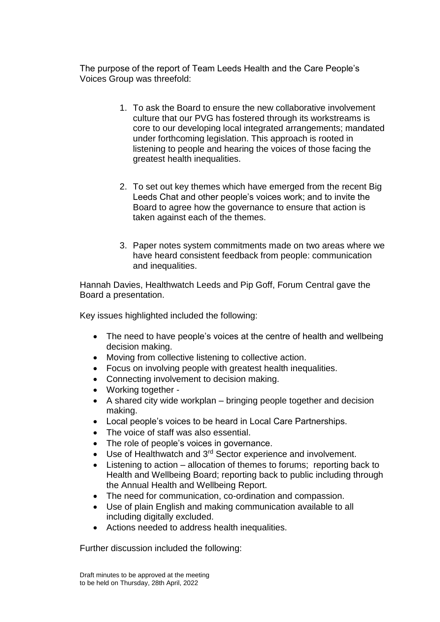The purpose of the report of Team Leeds Health and the Care People's Voices Group was threefold:

- 1. To ask the Board to ensure the new collaborative involvement culture that our PVG has fostered through its workstreams is core to our developing local integrated arrangements; mandated under forthcoming legislation. This approach is rooted in listening to people and hearing the voices of those facing the greatest health inequalities.
- 2. To set out key themes which have emerged from the recent Big Leeds Chat and other people's voices work; and to invite the Board to agree how the governance to ensure that action is taken against each of the themes.
- 3. Paper notes system commitments made on two areas where we have heard consistent feedback from people: communication and inequalities.

Hannah Davies, Healthwatch Leeds and Pip Goff, Forum Central gave the Board a presentation.

Key issues highlighted included the following:

- The need to have people's voices at the centre of health and wellbeing decision making.
- Moving from collective listening to collective action.
- Focus on involving people with greatest health inequalities.
- Connecting involvement to decision making.
- Working together -
- A shared city wide workplan bringing people together and decision making.
- Local people's voices to be heard in Local Care Partnerships.
- The voice of staff was also essential.
- The role of people's voices in governance.
- $\bullet$  Use of Healthwatch and 3<sup>rd</sup> Sector experience and involvement.
- Listening to action allocation of themes to forums; reporting back to Health and Wellbeing Board; reporting back to public including through the Annual Health and Wellbeing Report.
- The need for communication, co-ordination and compassion.
- Use of plain English and making communication available to all including digitally excluded.
- Actions needed to address health inequalities.

Further discussion included the following: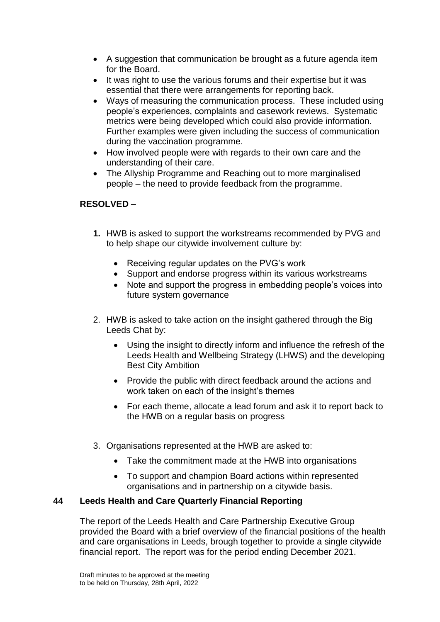- A suggestion that communication be brought as a future agenda item for the Board.
- It was right to use the various forums and their expertise but it was essential that there were arrangements for reporting back.
- Ways of measuring the communication process. These included using people's experiences, complaints and casework reviews. Systematic metrics were being developed which could also provide information. Further examples were given including the success of communication during the vaccination programme.
- How involved people were with regards to their own care and the understanding of their care.
- The Allyship Programme and Reaching out to more marginalised people – the need to provide feedback from the programme.

# **RESOLVED –**

- **1.** HWB is asked to support the workstreams recommended by PVG and to help shape our citywide involvement culture by:
	- Receiving regular updates on the PVG's work
	- Support and endorse progress within its various workstreams
	- Note and support the progress in embedding people's voices into future system governance
- 2. HWB is asked to take action on the insight gathered through the Big Leeds Chat by:
	- Using the insight to directly inform and influence the refresh of the Leeds Health and Wellbeing Strategy (LHWS) and the developing Best City Ambition
	- Provide the public with direct feedback around the actions and work taken on each of the insight's themes
	- For each theme, allocate a lead forum and ask it to report back to the HWB on a regular basis on progress
- 3. Organisations represented at the HWB are asked to:
	- Take the commitment made at the HWB into organisations
	- To support and champion Board actions within represented organisations and in partnership on a citywide basis.

## **44 Leeds Health and Care Quarterly Financial Reporting**

The report of the Leeds Health and Care Partnership Executive Group provided the Board with a brief overview of the financial positions of the health and care organisations in Leeds, brough together to provide a single citywide financial report. The report was for the period ending December 2021.